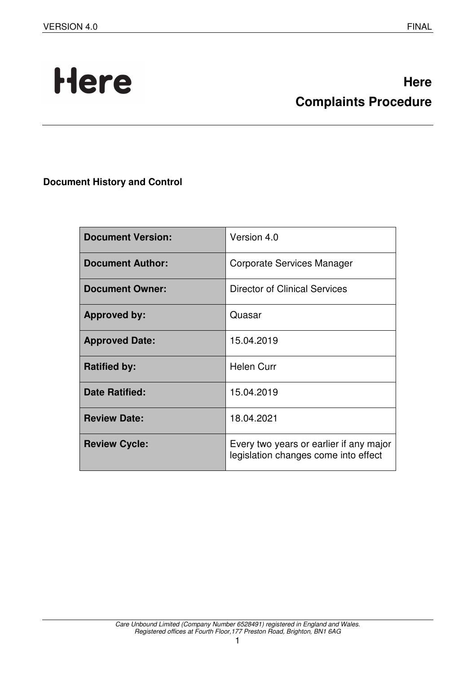# Here

# **Here Complaints Procedure**

**Document History and Control** 

| <b>Document Version:</b> | Version 4.0                                                                     |
|--------------------------|---------------------------------------------------------------------------------|
| <b>Document Author:</b>  | Corporate Services Manager                                                      |
| <b>Document Owner:</b>   | <b>Director of Clinical Services</b>                                            |
| <b>Approved by:</b>      | Quasar                                                                          |
| <b>Approved Date:</b>    | 15.04.2019                                                                      |
| <b>Ratified by:</b>      | <b>Helen Curr</b>                                                               |
| <b>Date Ratified:</b>    | 15.04.2019                                                                      |
| <b>Review Date:</b>      | 18.04.2021                                                                      |
| <b>Review Cycle:</b>     | Every two years or earlier if any major<br>legislation changes come into effect |

1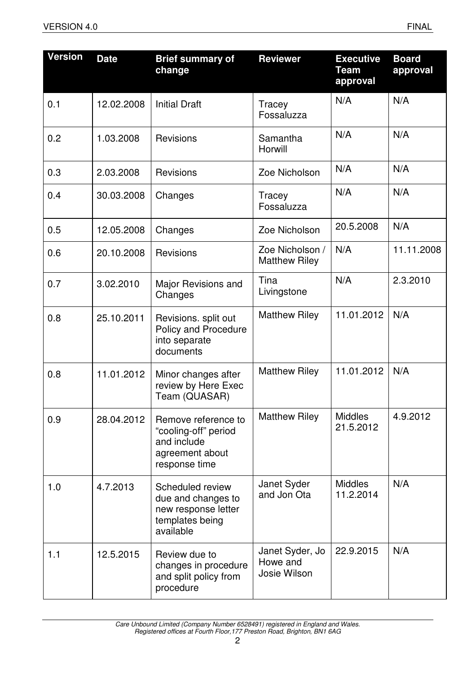| <b>Version</b> | <b>Date</b> | <b>Brief summary of</b><br>change                                                              | <b>Reviewer</b>                             | <b>Executive</b><br>Team<br>approval | <b>Board</b><br>approval |
|----------------|-------------|------------------------------------------------------------------------------------------------|---------------------------------------------|--------------------------------------|--------------------------|
| 0.1            | 12.02.2008  | <b>Initial Draft</b>                                                                           | Tracey<br>Fossaluzza                        | N/A                                  | N/A                      |
| 0.2            | 1.03.2008   | <b>Revisions</b>                                                                               | Samantha<br>Horwill                         | N/A                                  | N/A                      |
| 0.3            | 2.03.2008   | <b>Revisions</b>                                                                               | Zoe Nicholson                               | N/A                                  | N/A                      |
| 0.4            | 30.03.2008  | Changes                                                                                        | Tracey<br>Fossaluzza                        | N/A                                  | N/A                      |
| 0.5            | 12.05.2008  | Changes                                                                                        | Zoe Nicholson                               | 20.5.2008                            | N/A                      |
| 0.6            | 20.10.2008  | <b>Revisions</b>                                                                               | Zoe Nicholson /<br><b>Matthew Riley</b>     | N/A                                  | 11.11.2008               |
| 0.7            | 3.02.2010   | Major Revisions and<br>Changes                                                                 | Tina<br>Livingstone                         | N/A                                  | 2.3.2010                 |
| 0.8            | 25.10.2011  | Revisions. split out<br>Policy and Procedure<br>into separate<br>documents                     | <b>Matthew Riley</b>                        | 11.01.2012                           | N/A                      |
| 0.8            | 11.01.2012  | Minor changes after<br>review by Here Exec<br>Team (QUASAR)                                    | <b>Matthew Riley</b>                        | 11.01.2012                           | N/A                      |
| 0.9            | 28.04.2012  | Remove reference to<br>"cooling-off" period<br>and include<br>agreement about<br>response time | <b>Matthew Riley</b>                        | <b>Middles</b><br>21.5.2012          | 4.9.2012                 |
| 1.0            | 4.7.2013    | Scheduled review<br>due and changes to<br>new response letter<br>templates being<br>available  | Janet Syder<br>and Jon Ota                  | <b>Middles</b><br>11.2.2014          | N/A                      |
| 1.1            | 12.5.2015   | Review due to<br>changes in procedure<br>and split policy from<br>procedure                    | Janet Syder, Jo<br>Howe and<br>Josie Wilson | 22.9.2015                            | N/A                      |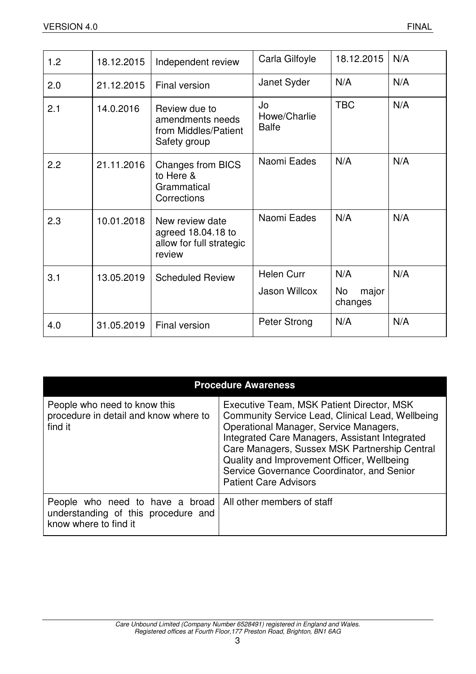| 1.2 | 18.12.2015 | Independent review                                                          | Carla Gilfoyle                     | 18.12.2015                    | N/A |
|-----|------------|-----------------------------------------------------------------------------|------------------------------------|-------------------------------|-----|
| 2.0 | 21.12.2015 | Final version                                                               | Janet Syder                        | N/A                           | N/A |
| 2.1 | 14.0.2016  | Review due to<br>amendments needs<br>from Middles/Patient<br>Safety group   | Jo<br>Howe/Charlie<br><b>Balfe</b> | <b>TBC</b>                    | N/A |
| 2.2 | 21.11.2016 | <b>Changes from BICS</b><br>to Here &<br>Grammatical<br>Corrections         | Naomi Eades                        | N/A                           | N/A |
| 2.3 | 10.01.2018 | New review date<br>agreed 18.04.18 to<br>allow for full strategic<br>review | Naomi Eades                        | N/A                           | N/A |
| 3.1 | 13.05.2019 | <b>Scheduled Review</b>                                                     | <b>Helen Curr</b><br>Jason Willcox | N/A<br>No<br>major<br>changes | N/A |
| 4.0 | 31.05.2019 | Final version                                                               | Peter Strong                       | N/A                           | N/A |

| <b>Procedure Awareness</b>                                                                                                   |                                                                                                                                                                                                                                                                                                                                                                        |  |
|------------------------------------------------------------------------------------------------------------------------------|------------------------------------------------------------------------------------------------------------------------------------------------------------------------------------------------------------------------------------------------------------------------------------------------------------------------------------------------------------------------|--|
| People who need to know this<br>procedure in detail and know where to<br>find it                                             | Executive Team, MSK Patient Director, MSK<br>Community Service Lead, Clinical Lead, Wellbeing<br>Operational Manager, Service Managers,<br>Integrated Care Managers, Assistant Integrated<br>Care Managers, Sussex MSK Partnership Central<br>Quality and Improvement Officer, Wellbeing<br>Service Governance Coordinator, and Senior<br><b>Patient Care Advisors</b> |  |
| People who need to have a broad   All other members of staff<br>understanding of this procedure and<br>know where to find it |                                                                                                                                                                                                                                                                                                                                                                        |  |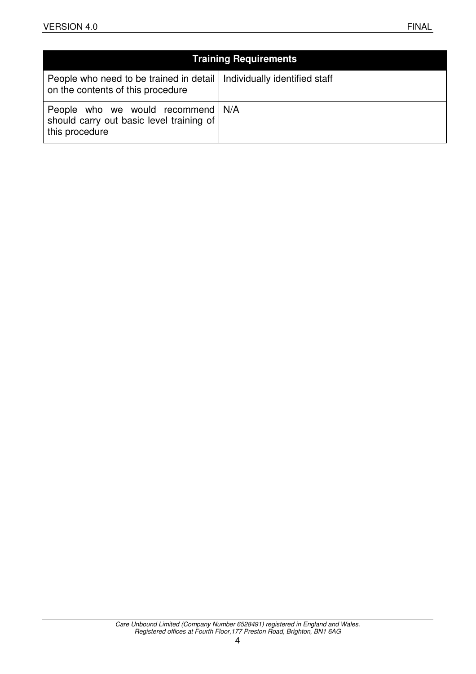|                                                                                                              | <b>Training Requirements</b> |
|--------------------------------------------------------------------------------------------------------------|------------------------------|
| People who need to be trained in detail   Individually identified staff<br>on the contents of this procedure |                              |
| People who we would recommend   N/A<br>should carry out basic level training of<br>this procedure            |                              |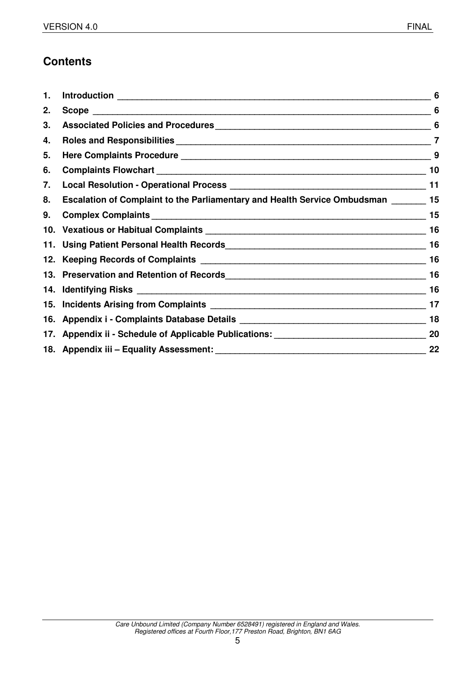# **Contents**

| 1. |                                                                                       | 6  |
|----|---------------------------------------------------------------------------------------|----|
| 2. |                                                                                       | 6  |
| 3. |                                                                                       |    |
| 4. |                                                                                       | 7  |
| 5. |                                                                                       |    |
| 6. |                                                                                       | 10 |
| 7. |                                                                                       |    |
| 8. | Escalation of Complaint to the Parliamentary and Health Service Ombudsman ________ 15 |    |
| 9. |                                                                                       | 15 |
|    |                                                                                       | 16 |
|    |                                                                                       | 16 |
|    |                                                                                       |    |
|    |                                                                                       |    |
|    |                                                                                       |    |
|    |                                                                                       | 17 |
|    |                                                                                       |    |
|    |                                                                                       |    |
|    |                                                                                       | 22 |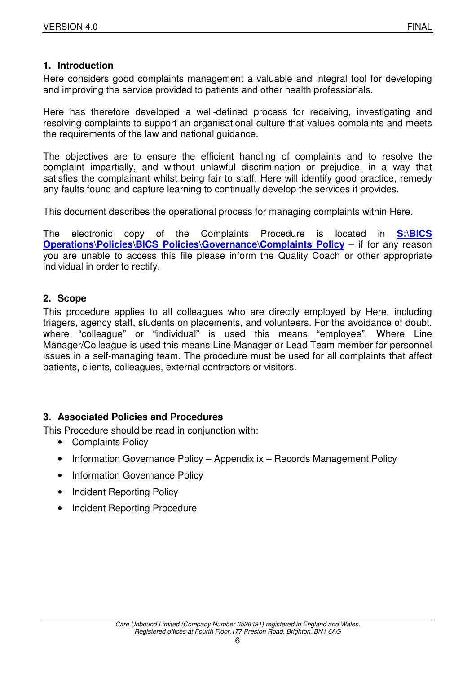## **1. Introduction**

Here considers good complaints management a valuable and integral tool for developing and improving the service provided to patients and other health professionals.

Here has therefore developed a well-defined process for receiving, investigating and resolving complaints to support an organisational culture that values complaints and meets the requirements of the law and national guidance.

The objectives are to ensure the efficient handling of complaints and to resolve the complaint impartially, and without unlawful discrimination or prejudice, in a way that satisfies the complainant whilst being fair to staff. Here will identify good practice, remedy any faults found and capture learning to continually develop the services it provides.

This document describes the operational process for managing complaints within Here.

The electronic copy of the Complaints Procedure is located in **S:\BICS Operations\Policies\BICS Policies\Governance\Complaints Policy** – if for any reason you are unable to access this file please inform the Quality Coach or other appropriate individual in order to rectify.

### **2. Scope**

This procedure applies to all colleagues who are directly employed by Here, including triagers, agency staff, students on placements, and volunteers. For the avoidance of doubt, where "colleague" or "individual" is used this means "employee". Where Line Manager/Colleague is used this means Line Manager or Lead Team member for personnel issues in a self-managing team. The procedure must be used for all complaints that affect patients, clients, colleagues, external contractors or visitors.

### **3. Associated Policies and Procedures**

This Procedure should be read in conjunction with:

- Complaints Policy
- Information Governance Policy Appendix ix Records Management Policy
- Information Governance Policy
- Incident Reporting Policy
- Incident Reporting Procedure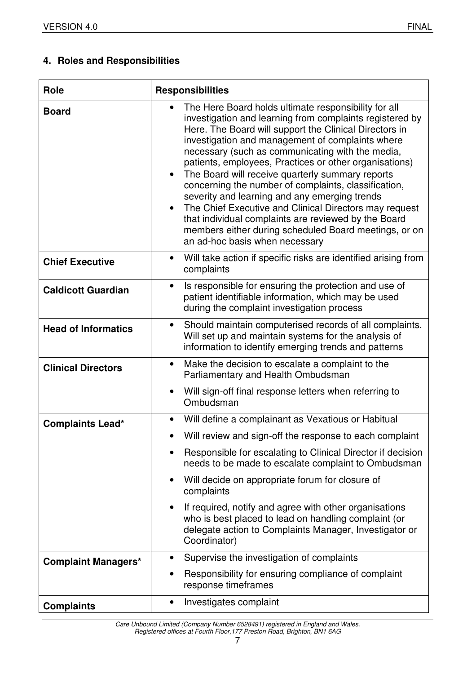# **4. Roles and Responsibilities**

| <b>Role</b>                | <b>Responsibilities</b>                                                                                                                                                                                                                                                                                                                                                                                                                                                                                                                                                                                                                                                                                                                                       |  |
|----------------------------|---------------------------------------------------------------------------------------------------------------------------------------------------------------------------------------------------------------------------------------------------------------------------------------------------------------------------------------------------------------------------------------------------------------------------------------------------------------------------------------------------------------------------------------------------------------------------------------------------------------------------------------------------------------------------------------------------------------------------------------------------------------|--|
| <b>Board</b>               | The Here Board holds ultimate responsibility for all<br>$\bullet$<br>investigation and learning from complaints registered by<br>Here. The Board will support the Clinical Directors in<br>investigation and management of complaints where<br>necessary (such as communicating with the media,<br>patients, employees, Practices or other organisations)<br>The Board will receive quarterly summary reports<br>$\bullet$<br>concerning the number of complaints, classification,<br>severity and learning and any emerging trends<br>The Chief Executive and Clinical Directors may request<br>$\bullet$<br>that individual complaints are reviewed by the Board<br>members either during scheduled Board meetings, or on<br>an ad-hoc basis when necessary |  |
| <b>Chief Executive</b>     | Will take action if specific risks are identified arising from<br>$\bullet$<br>complaints                                                                                                                                                                                                                                                                                                                                                                                                                                                                                                                                                                                                                                                                     |  |
| <b>Caldicott Guardian</b>  | Is responsible for ensuring the protection and use of<br>$\bullet$<br>patient identifiable information, which may be used<br>during the complaint investigation process                                                                                                                                                                                                                                                                                                                                                                                                                                                                                                                                                                                       |  |
| <b>Head of Informatics</b> | Should maintain computerised records of all complaints.<br>$\bullet$<br>Will set up and maintain systems for the analysis of<br>information to identify emerging trends and patterns                                                                                                                                                                                                                                                                                                                                                                                                                                                                                                                                                                          |  |
| <b>Clinical Directors</b>  | Make the decision to escalate a complaint to the<br>$\bullet$<br>Parliamentary and Health Ombudsman                                                                                                                                                                                                                                                                                                                                                                                                                                                                                                                                                                                                                                                           |  |
|                            | Will sign-off final response letters when referring to<br>$\bullet$<br>Ombudsman                                                                                                                                                                                                                                                                                                                                                                                                                                                                                                                                                                                                                                                                              |  |
| <b>Complaints Lead*</b>    | Will define a complainant as Vexatious or Habitual<br>$\bullet$                                                                                                                                                                                                                                                                                                                                                                                                                                                                                                                                                                                                                                                                                               |  |
|                            | Will review and sign-off the response to each complaint                                                                                                                                                                                                                                                                                                                                                                                                                                                                                                                                                                                                                                                                                                       |  |
|                            | Responsible for escalating to Clinical Director if decision<br>needs to be made to escalate complaint to Ombudsman                                                                                                                                                                                                                                                                                                                                                                                                                                                                                                                                                                                                                                            |  |
|                            | Will decide on appropriate forum for closure of<br>$\bullet$<br>complaints                                                                                                                                                                                                                                                                                                                                                                                                                                                                                                                                                                                                                                                                                    |  |
|                            | If required, notify and agree with other organisations<br>$\bullet$<br>who is best placed to lead on handling complaint (or<br>delegate action to Complaints Manager, Investigator or<br>Coordinator)                                                                                                                                                                                                                                                                                                                                                                                                                                                                                                                                                         |  |
| <b>Complaint Managers*</b> | Supervise the investigation of complaints                                                                                                                                                                                                                                                                                                                                                                                                                                                                                                                                                                                                                                                                                                                     |  |
|                            | Responsibility for ensuring compliance of complaint<br>response timeframes                                                                                                                                                                                                                                                                                                                                                                                                                                                                                                                                                                                                                                                                                    |  |
| <b>Complaints</b>          | Investigates complaint                                                                                                                                                                                                                                                                                                                                                                                                                                                                                                                                                                                                                                                                                                                                        |  |

Care Unbound Limited (Company Number 6528491) registered in England and Wales. Registered offices at Fourth Floor,177 Preston Road, Brighton, BN1 6AG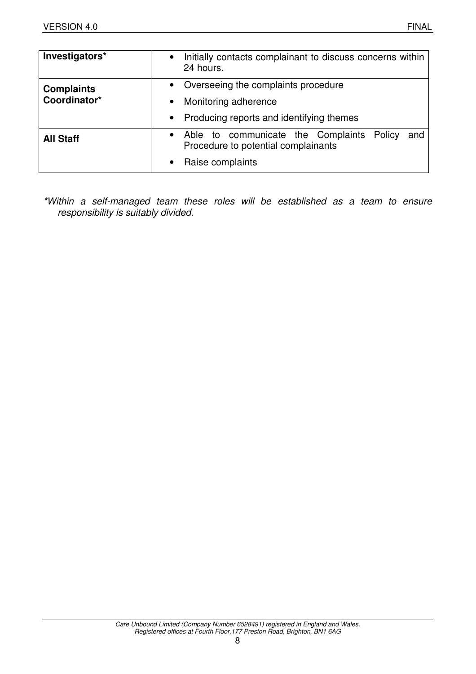| Investigators*    | Initially contacts complainant to discuss concerns within<br>$\bullet$<br>24 hours.                  |
|-------------------|------------------------------------------------------------------------------------------------------|
| <b>Complaints</b> | • Overseeing the complaints procedure                                                                |
| Coordinator*      | Monitoring adherence<br>$\bullet$                                                                    |
|                   | Producing reports and identifying themes<br>$\bullet$                                                |
| <b>All Staff</b>  | Able to communicate the Complaints Policy<br>and<br>$\bullet$<br>Procedure to potential complainants |
|                   | Raise complaints                                                                                     |

\*Within a self-managed team these roles will be established as a team to ensure responsibility is suitably divided.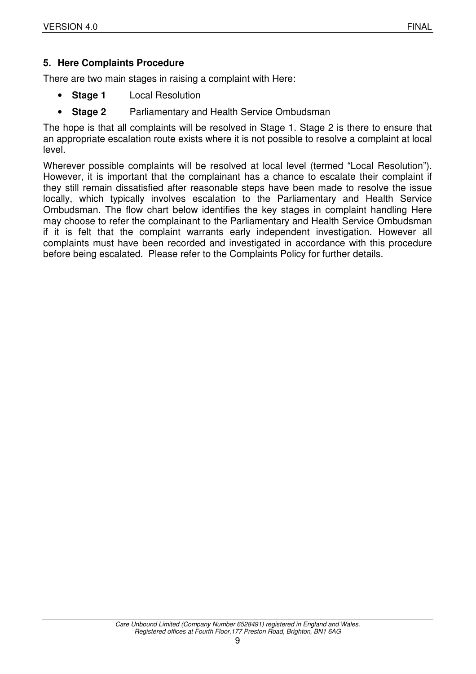# **5. Here Complaints Procedure**

There are two main stages in raising a complaint with Here:

- **Stage 1** Local Resolution
- **Stage 2** Parliamentary and Health Service Ombudsman

The hope is that all complaints will be resolved in Stage 1. Stage 2 is there to ensure that an appropriate escalation route exists where it is not possible to resolve a complaint at local level.

Wherever possible complaints will be resolved at local level (termed "Local Resolution"). However, it is important that the complainant has a chance to escalate their complaint if they still remain dissatisfied after reasonable steps have been made to resolve the issue locally, which typically involves escalation to the Parliamentary and Health Service Ombudsman. The flow chart below identifies the key stages in complaint handling Here may choose to refer the complainant to the Parliamentary and Health Service Ombudsman if it is felt that the complaint warrants early independent investigation. However all complaints must have been recorded and investigated in accordance with this procedure before being escalated. Please refer to the Complaints Policy for further details.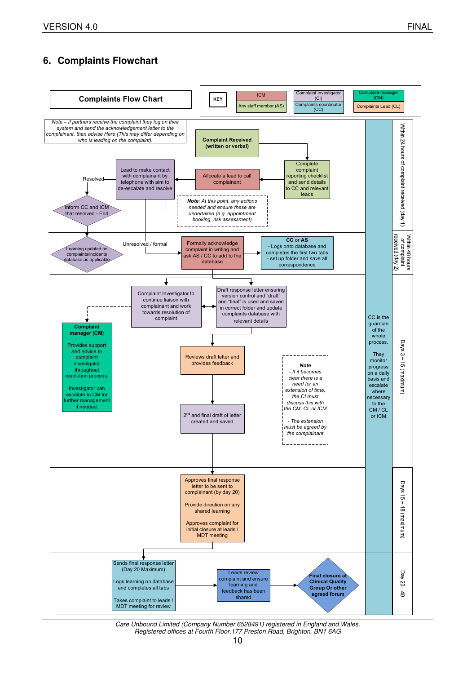# **6. Complaints Flowchart**



Care Unbound Limited (Company Number 6528491) registered in England and Wales. Registered offices at Fourth Floor,177 Preston Road, Brighton, BN1 6AG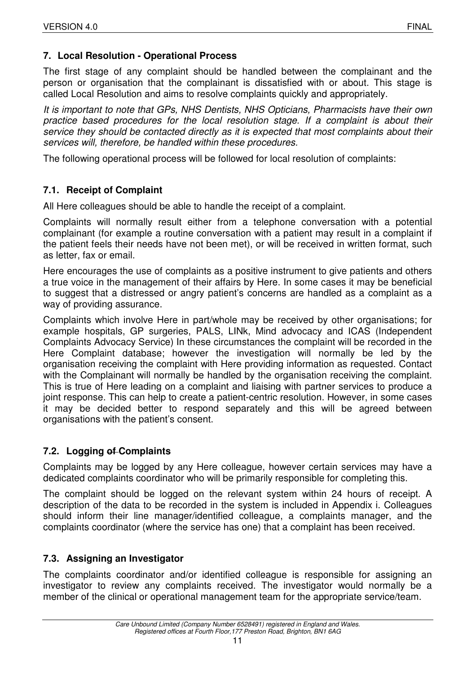# **7. Local Resolution - Operational Process**

The first stage of any complaint should be handled between the complainant and the person or organisation that the complainant is dissatisfied with or about. This stage is called Local Resolution and aims to resolve complaints quickly and appropriately.

It is important to note that GPs, NHS Dentists, NHS Opticians, Pharmacists have their own practice based procedures for the local resolution stage. If a complaint is about their service they should be contacted directly as it is expected that most complaints about their services will, therefore, be handled within these procedures.

The following operational process will be followed for local resolution of complaints:

# **7.1. Receipt of Complaint**

All Here colleagues should be able to handle the receipt of a complaint.

Complaints will normally result either from a telephone conversation with a potential complainant (for example a routine conversation with a patient may result in a complaint if the patient feels their needs have not been met), or will be received in written format, such as letter, fax or email.

Here encourages the use of complaints as a positive instrument to give patients and others a true voice in the management of their affairs by Here. In some cases it may be beneficial to suggest that a distressed or angry patient's concerns are handled as a complaint as a way of providing assurance.

Complaints which involve Here in part/whole may be received by other organisations; for example hospitals, GP surgeries, PALS, LINk, Mind advocacy and ICAS (Independent Complaints Advocacy Service) In these circumstances the complaint will be recorded in the Here Complaint database; however the investigation will normally be led by the organisation receiving the complaint with Here providing information as requested. Contact with the Complainant will normally be handled by the organisation receiving the complaint. This is true of Here leading on a complaint and liaising with partner services to produce a joint response. This can help to create a patient-centric resolution. However, in some cases it may be decided better to respond separately and this will be agreed between organisations with the patient's consent.

# **7.2. Logging of Complaints**

Complaints may be logged by any Here colleague, however certain services may have a dedicated complaints coordinator who will be primarily responsible for completing this.

The complaint should be logged on the relevant system within 24 hours of receipt. A description of the data to be recorded in the system is included in Appendix i. Colleagues should inform their line manager/identified colleague, a complaints manager, and the complaints coordinator (where the service has one) that a complaint has been received.

# **7.3. Assigning an Investigator**

The complaints coordinator and/or identified colleague is responsible for assigning an investigator to review any complaints received. The investigator would normally be a member of the clinical or operational management team for the appropriate service/team.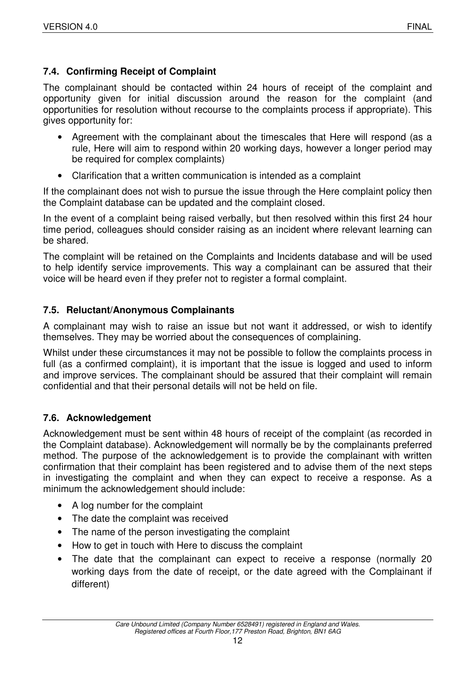# **7.4. Confirming Receipt of Complaint**

The complainant should be contacted within 24 hours of receipt of the complaint and opportunity given for initial discussion around the reason for the complaint (and opportunities for resolution without recourse to the complaints process if appropriate). This gives opportunity for:

- Agreement with the complainant about the timescales that Here will respond (as a rule, Here will aim to respond within 20 working days, however a longer period may be required for complex complaints)
- Clarification that a written communication is intended as a complaint

If the complainant does not wish to pursue the issue through the Here complaint policy then the Complaint database can be updated and the complaint closed.

In the event of a complaint being raised verbally, but then resolved within this first 24 hour time period, colleagues should consider raising as an incident where relevant learning can be shared.

The complaint will be retained on the Complaints and Incidents database and will be used to help identify service improvements. This way a complainant can be assured that their voice will be heard even if they prefer not to register a formal complaint.

# **7.5. Reluctant/Anonymous Complainants**

A complainant may wish to raise an issue but not want it addressed, or wish to identify themselves. They may be worried about the consequences of complaining.

Whilst under these circumstances it may not be possible to follow the complaints process in full (as a confirmed complaint), it is important that the issue is logged and used to inform and improve services. The complainant should be assured that their complaint will remain confidential and that their personal details will not be held on file.

# **7.6. Acknowledgement**

Acknowledgement must be sent within 48 hours of receipt of the complaint (as recorded in the Complaint database). Acknowledgement will normally be by the complainants preferred method. The purpose of the acknowledgement is to provide the complainant with written confirmation that their complaint has been registered and to advise them of the next steps in investigating the complaint and when they can expect to receive a response. As a minimum the acknowledgement should include:

- A log number for the complaint
- The date the complaint was received
- The name of the person investigating the complaint
- How to get in touch with Here to discuss the complaint
- The date that the complainant can expect to receive a response (normally 20 working days from the date of receipt, or the date agreed with the Complainant if different)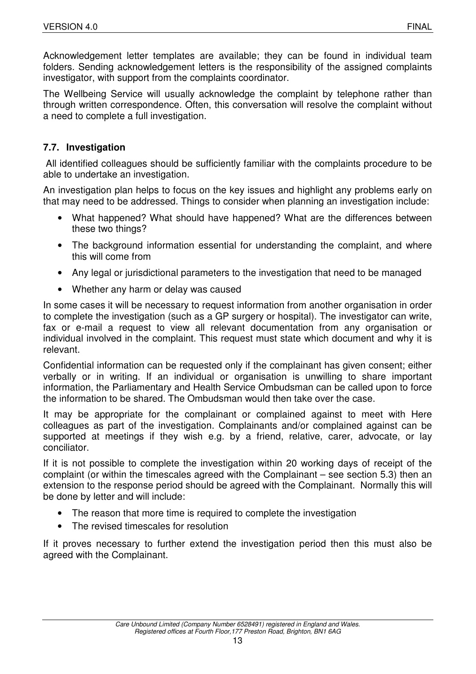Acknowledgement letter templates are available; they can be found in individual team folders. Sending acknowledgement letters is the responsibility of the assigned complaints investigator, with support from the complaints coordinator.

The Wellbeing Service will usually acknowledge the complaint by telephone rather than through written correspondence. Often, this conversation will resolve the complaint without a need to complete a full investigation.

# **7.7. Investigation**

 All identified colleagues should be sufficiently familiar with the complaints procedure to be able to undertake an investigation.

An investigation plan helps to focus on the key issues and highlight any problems early on that may need to be addressed. Things to consider when planning an investigation include:

- What happened? What should have happened? What are the differences between these two things?
- The background information essential for understanding the complaint, and where this will come from
- Any legal or jurisdictional parameters to the investigation that need to be managed
- Whether any harm or delay was caused

In some cases it will be necessary to request information from another organisation in order to complete the investigation (such as a GP surgery or hospital). The investigator can write, fax or e-mail a request to view all relevant documentation from any organisation or individual involved in the complaint. This request must state which document and why it is relevant.

Confidential information can be requested only if the complainant has given consent; either verbally or in writing. If an individual or organisation is unwilling to share important information, the Parliamentary and Health Service Ombudsman can be called upon to force the information to be shared. The Ombudsman would then take over the case.

It may be appropriate for the complainant or complained against to meet with Here colleagues as part of the investigation. Complainants and/or complained against can be supported at meetings if they wish e.g. by a friend, relative, carer, advocate, or lay conciliator.

If it is not possible to complete the investigation within 20 working days of receipt of the complaint (or within the timescales agreed with the Complainant – see section 5.3) then an extension to the response period should be agreed with the Complainant. Normally this will be done by letter and will include:

- The reason that more time is required to complete the investigation
- The revised timescales for resolution

If it proves necessary to further extend the investigation period then this must also be agreed with the Complainant.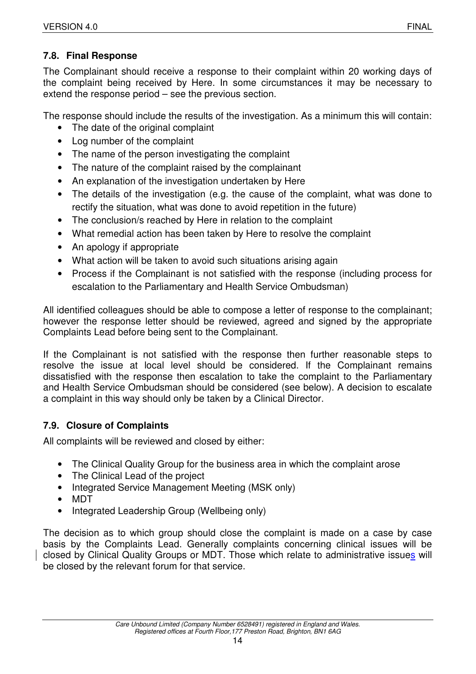# **7.8. Final Response**

The Complainant should receive a response to their complaint within 20 working days of the complaint being received by Here. In some circumstances it may be necessary to extend the response period – see the previous section.

The response should include the results of the investigation. As a minimum this will contain:

- The date of the original complaint
- Log number of the complaint
- The name of the person investigating the complaint
- The nature of the complaint raised by the complainant
- An explanation of the investigation undertaken by Here
- The details of the investigation (e.g. the cause of the complaint, what was done to rectify the situation, what was done to avoid repetition in the future)
- The conclusion/s reached by Here in relation to the complaint
- What remedial action has been taken by Here to resolve the complaint
- An apology if appropriate
- What action will be taken to avoid such situations arising again
- Process if the Complainant is not satisfied with the response (including process for escalation to the Parliamentary and Health Service Ombudsman)

All identified colleagues should be able to compose a letter of response to the complainant; however the response letter should be reviewed, agreed and signed by the appropriate Complaints Lead before being sent to the Complainant.

If the Complainant is not satisfied with the response then further reasonable steps to resolve the issue at local level should be considered. If the Complainant remains dissatisfied with the response then escalation to take the complaint to the Parliamentary and Health Service Ombudsman should be considered (see below). A decision to escalate a complaint in this way should only be taken by a Clinical Director.

# **7.9. Closure of Complaints**

All complaints will be reviewed and closed by either:

- The Clinical Quality Group for the business area in which the complaint arose
- The Clinical Lead of the project
- Integrated Service Management Meeting (MSK only)
- MDT
- Integrated Leadership Group (Wellbeing only)

The decision as to which group should close the complaint is made on a case by case basis by the Complaints Lead. Generally complaints concerning clinical issues will be closed by Clinical Quality Groups or MDT. Those which relate to administrative issues will be closed by the relevant forum for that service.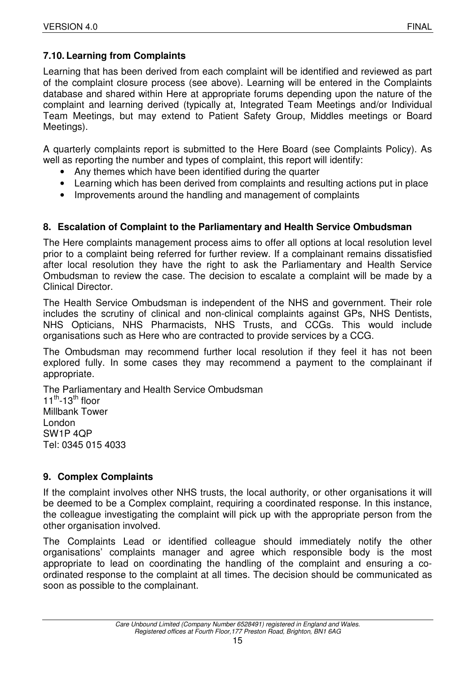# **7.10. Learning from Complaints**

Learning that has been derived from each complaint will be identified and reviewed as part of the complaint closure process (see above). Learning will be entered in the Complaints database and shared within Here at appropriate forums depending upon the nature of the complaint and learning derived (typically at, Integrated Team Meetings and/or Individual Team Meetings, but may extend to Patient Safety Group, Middles meetings or Board Meetings).

A quarterly complaints report is submitted to the Here Board (see Complaints Policy). As well as reporting the number and types of complaint, this report will identify:

- Any themes which have been identified during the quarter
- Learning which has been derived from complaints and resulting actions put in place
- Improvements around the handling and management of complaints

# **8. Escalation of Complaint to the Parliamentary and Health Service Ombudsman**

The Here complaints management process aims to offer all options at local resolution level prior to a complaint being referred for further review. If a complainant remains dissatisfied after local resolution they have the right to ask the Parliamentary and Health Service Ombudsman to review the case. The decision to escalate a complaint will be made by a Clinical Director.

The Health Service Ombudsman is independent of the NHS and government. Their role includes the scrutiny of clinical and non-clinical complaints against GPs, NHS Dentists, NHS Opticians, NHS Pharmacists, NHS Trusts, and CCGs. This would include organisations such as Here who are contracted to provide services by a CCG.

The Ombudsman may recommend further local resolution if they feel it has not been explored fully. In some cases they may recommend a payment to the complainant if appropriate.

The Parliamentary and Health Service Ombudsman  $11^{th}$ -13<sup>th</sup> floor Millbank Tower London SW1P 4QP Tel: 0345 015 4033

# **9. Complex Complaints**

If the complaint involves other NHS trusts, the local authority, or other organisations it will be deemed to be a Complex complaint, requiring a coordinated response. In this instance, the colleague investigating the complaint will pick up with the appropriate person from the other organisation involved.

The Complaints Lead or identified colleague should immediately notify the other organisations' complaints manager and agree which responsible body is the most appropriate to lead on coordinating the handling of the complaint and ensuring a coordinated response to the complaint at all times. The decision should be communicated as soon as possible to the complainant.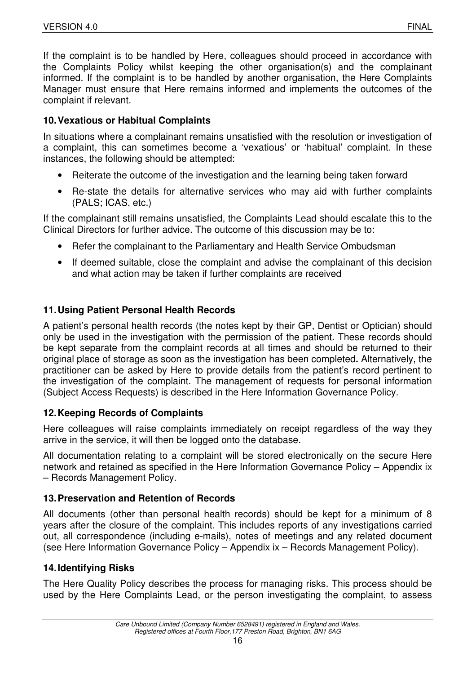If the complaint is to be handled by Here, colleagues should proceed in accordance with the Complaints Policy whilst keeping the other organisation(s) and the complainant informed. If the complaint is to be handled by another organisation, the Here Complaints Manager must ensure that Here remains informed and implements the outcomes of the complaint if relevant.

# **10. Vexatious or Habitual Complaints**

In situations where a complainant remains unsatisfied with the resolution or investigation of a complaint, this can sometimes become a 'vexatious' or 'habitual' complaint. In these instances, the following should be attempted:

- Reiterate the outcome of the investigation and the learning being taken forward
- Re-state the details for alternative services who may aid with further complaints (PALS; ICAS, etc.)

If the complainant still remains unsatisfied, the Complaints Lead should escalate this to the Clinical Directors for further advice. The outcome of this discussion may be to:

- Refer the complainant to the Parliamentary and Health Service Ombudsman
- If deemed suitable, close the complaint and advise the complainant of this decision and what action may be taken if further complaints are received

# **11. Using Patient Personal Health Records**

A patient's personal health records (the notes kept by their GP, Dentist or Optician) should only be used in the investigation with the permission of the patient. These records should be kept separate from the complaint records at all times and should be returned to their original place of storage as soon as the investigation has been completed**.** Alternatively, the practitioner can be asked by Here to provide details from the patient's record pertinent to the investigation of the complaint. The management of requests for personal information (Subject Access Requests) is described in the Here Information Governance Policy.

# **12. Keeping Records of Complaints**

Here colleagues will raise complaints immediately on receipt regardless of the way they arrive in the service, it will then be logged onto the database.

All documentation relating to a complaint will be stored electronically on the secure Here network and retained as specified in the Here Information Governance Policy – Appendix ix – Records Management Policy.

# **13. Preservation and Retention of Records**

All documents (other than personal health records) should be kept for a minimum of 8 years after the closure of the complaint. This includes reports of any investigations carried out, all correspondence (including e-mails), notes of meetings and any related document (see Here Information Governance Policy – Appendix ix – Records Management Policy).

# **14. Identifying Risks**

The Here Quality Policy describes the process for managing risks. This process should be used by the Here Complaints Lead, or the person investigating the complaint, to assess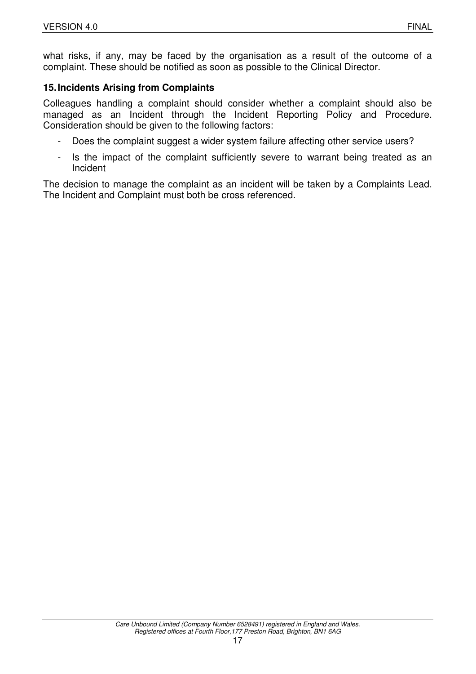# **15. Incidents Arising from Complaints**

Colleagues handling a complaint should consider whether a complaint should also be managed as an Incident through the Incident Reporting Policy and Procedure. Consideration should be given to the following factors:

- Does the complaint suggest a wider system failure affecting other service users?
- Is the impact of the complaint sufficiently severe to warrant being treated as an Incident

The decision to manage the complaint as an incident will be taken by a Complaints Lead. The Incident and Complaint must both be cross referenced.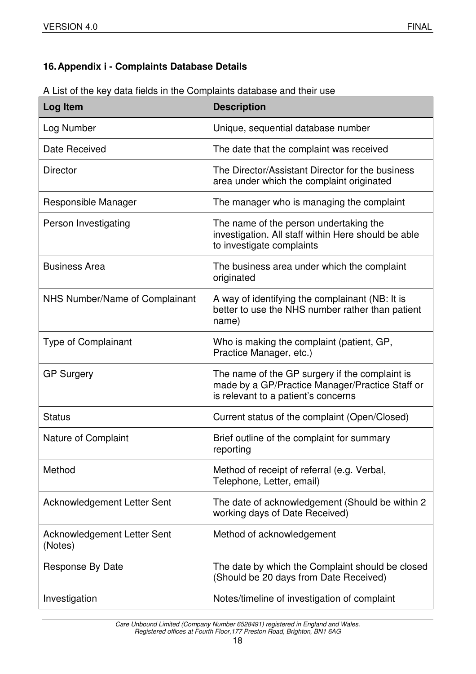# **16. Appendix i - Complaints Database Details**

| A List of the key data fields in the Complaints database and their use |  |  |
|------------------------------------------------------------------------|--|--|
|                                                                        |  |  |

| Log Item                               | <b>Description</b>                                                                                                                       |
|----------------------------------------|------------------------------------------------------------------------------------------------------------------------------------------|
| Log Number                             | Unique, sequential database number                                                                                                       |
| Date Received                          | The date that the complaint was received                                                                                                 |
| <b>Director</b>                        | The Director/Assistant Director for the business<br>area under which the complaint originated                                            |
| Responsible Manager                    | The manager who is managing the complaint                                                                                                |
| Person Investigating                   | The name of the person undertaking the<br>investigation. All staff within Here should be able<br>to investigate complaints               |
| <b>Business Area</b>                   | The business area under which the complaint<br>originated                                                                                |
| NHS Number/Name of Complainant         | A way of identifying the complainant (NB: It is<br>better to use the NHS number rather than patient<br>name)                             |
| <b>Type of Complainant</b>             | Who is making the complaint (patient, GP,<br>Practice Manager, etc.)                                                                     |
| <b>GP Surgery</b>                      | The name of the GP surgery if the complaint is<br>made by a GP/Practice Manager/Practice Staff or<br>is relevant to a patient's concerns |
| <b>Status</b>                          | Current status of the complaint (Open/Closed)                                                                                            |
| <b>Nature of Complaint</b>             | Brief outline of the complaint for summary<br>reporting                                                                                  |
| Method                                 | Method of receipt of referral (e.g. Verbal,<br>Telephone, Letter, email)                                                                 |
| <b>Acknowledgement Letter Sent</b>     | The date of acknowledgement (Should be within 2)<br>working days of Date Received)                                                       |
| Acknowledgement Letter Sent<br>(Notes) | Method of acknowledgement                                                                                                                |
| Response By Date                       | The date by which the Complaint should be closed<br>(Should be 20 days from Date Received)                                               |
| Investigation                          | Notes/timeline of investigation of complaint                                                                                             |

Care Unbound Limited (Company Number 6528491) registered in England and Wales. Registered offices at Fourth Floor,177 Preston Road, Brighton, BN1 6AG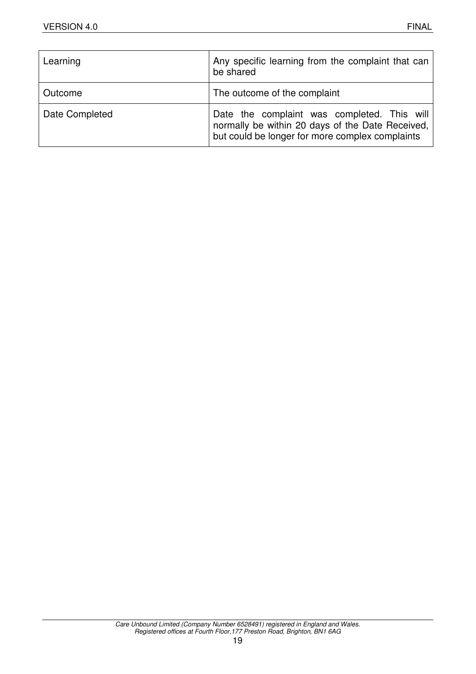| Learning       | Any specific learning from the complaint that can<br>be shared                                                                                     |
|----------------|----------------------------------------------------------------------------------------------------------------------------------------------------|
| Outcome        | The outcome of the complaint                                                                                                                       |
| Date Completed | Date the complaint was completed. This will<br>normally be within 20 days of the Date Received,<br>but could be longer for more complex complaints |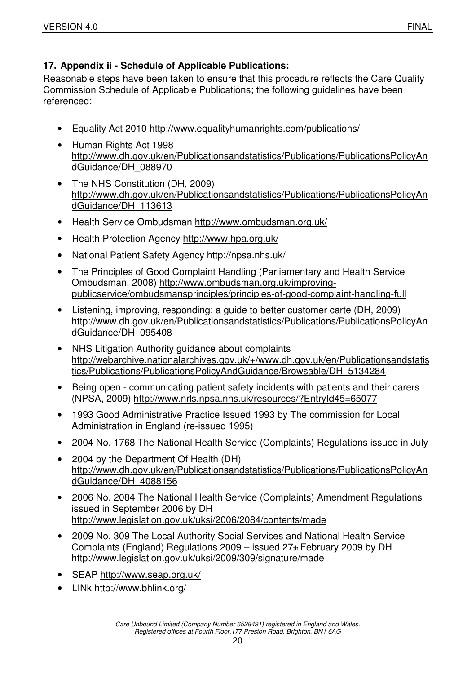# **17. Appendix ii - Schedule of Applicable Publications:**

Reasonable steps have been taken to ensure that this procedure reflects the Care Quality Commission Schedule of Applicable Publications; the following guidelines have been referenced:

- Equality Act 2010 http://www.equalityhumanrights.com/publications/
- Human Rights Act 1998 http://www.dh.gov.uk/en/Publicationsandstatistics/Publications/PublicationsPolicyAn dGuidance/DH\_088970
- The NHS Constitution (DH, 2009) http://www.dh.gov.uk/en/Publicationsandstatistics/Publications/PublicationsPolicyAn dGuidance/DH\_113613
- Health Service Ombudsman http://www.ombudsman.org.uk/
- Health Protection Agency http://www.hpa.org.uk/
- National Patient Safety Agency http://npsa.nhs.uk/
- The Principles of Good Complaint Handling (Parliamentary and Health Service Ombudsman, 2008) http://www.ombudsman.org.uk/improvingpublicservice/ombudsmansprinciples/principles-of-good-complaint-handling-full
- Listening, improving, responding: a guide to better customer carte (DH, 2009) http://www.dh.gov.uk/en/Publicationsandstatistics/Publications/PublicationsPolicyAn dGuidance/DH\_095408
- NHS Litigation Authority guidance about complaints http://webarchive.nationalarchives.gov.uk/+/www.dh.gov.uk/en/Publicationsandstatis tics/Publications/PublicationsPolicyAndGuidance/Browsable/DH\_5134284
- Being open communicating patient safety incidents with patients and their carers (NPSA, 2009) http://www.nrls.npsa.nhs.uk/resources/?EntryId45=65077
- 1993 Good Administrative Practice Issued 1993 by The commission for Local Administration in England (re-issued 1995)
- 2004 No. 1768 The National Health Service (Complaints) Regulations issued in July
- 2004 by the Department Of Health (DH) http://www.dh.gov.uk/en/Publicationsandstatistics/Publications/PublicationsPolicyAn dGuidance/DH\_4088156
- 2006 No. 2084 The National Health Service (Complaints) Amendment Regulations issued in September 2006 by DH http://www.legislation.gov.uk/uksi/2006/2084/contents/made
- 2009 No. 309 The Local Authority Social Services and National Health Service Complaints (England) Regulations 2009 – issued 27th February 2009 by DH http://www.legislation.gov.uk/uksi/2009/309/signature/made
- SEAP http://www.seap.org.uk/
- LINk http://www.bhlink.org/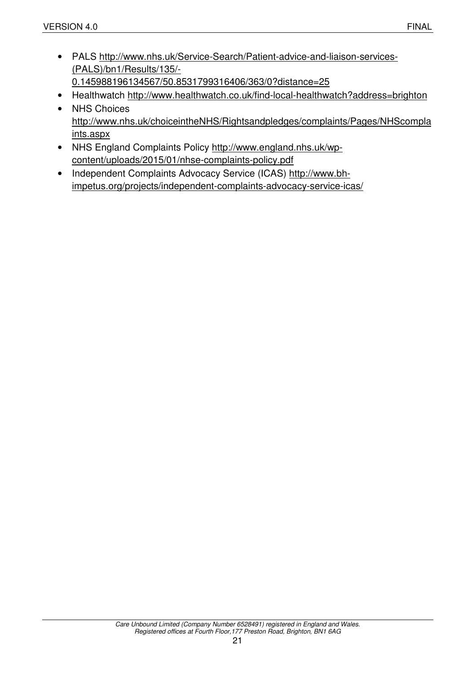- PALS http://www.nhs.uk/Service-Search/Patient-advice-and-liaison-services- (PALS)/bn1/Results/135/- 0.145988196134567/50.8531799316406/363/0?distance=25
- Healthwatch http://www.healthwatch.co.uk/find-local-healthwatch?address=brighton
- NHS Choices http://www.nhs.uk/choiceintheNHS/Rightsandpledges/complaints/Pages/NHScompla ints.aspx
- NHS England Complaints Policy http://www.england.nhs.uk/wpcontent/uploads/2015/01/nhse-complaints-policy.pdf
- Independent Complaints Advocacy Service (ICAS) http://www.bhimpetus.org/projects/independent-complaints-advocacy-service-icas/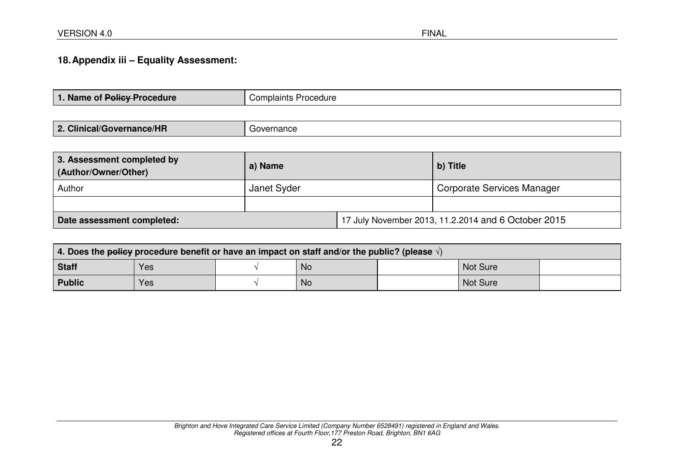# **18. Appendix iii – Equality Assessment:**

| 1. Name of Policy Procedure | Complaints Procedure |
|-----------------------------|----------------------|
|                             |                      |

| 3. Assessment completed by<br>(Author/Owner/Other) | a) Name     |                                                     | b) Title                   |  |
|----------------------------------------------------|-------------|-----------------------------------------------------|----------------------------|--|
| Author                                             | Janet Syder |                                                     | Corporate Services Manager |  |
|                                                    |             |                                                     |                            |  |
| Date assessment completed:                         |             | 17 July November 2013, 11.2.2014 and 6 October 2015 |                            |  |

| 4. Does the policy procedure benefit or have an impact on staff and/or the public? (please $\sqrt{ }$ ) |     |  |           |  |                 |  |
|---------------------------------------------------------------------------------------------------------|-----|--|-----------|--|-----------------|--|
| <b>Staff</b>                                                                                            | Yes |  | <b>No</b> |  | <b>Not Sure</b> |  |
| <b>Public</b>                                                                                           | Yes |  | <b>No</b> |  | <b>Not Sure</b> |  |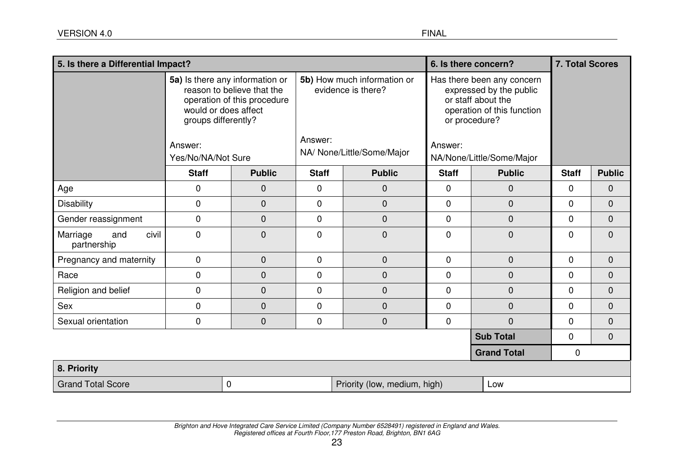| 5. Is there a Differential Impact?      |                                                                                                                                                                              |               |                                                                                            | 6. Is there concern?         |                                                                                                                                                                    | 7. Total Scores    |                |                |
|-----------------------------------------|------------------------------------------------------------------------------------------------------------------------------------------------------------------------------|---------------|--------------------------------------------------------------------------------------------|------------------------------|--------------------------------------------------------------------------------------------------------------------------------------------------------------------|--------------------|----------------|----------------|
|                                         | 5a) Is there any information or<br>reason to believe that the<br>operation of this procedure<br>would or does affect<br>groups differently?<br>Answer:<br>Yes/No/NA/Not Sure |               | 5b) How much information or<br>evidence is there?<br>Answer:<br>NA/ None/Little/Some/Major |                              | Has there been any concern<br>expressed by the public<br>or staff about the<br>operation of this function<br>or procedure?<br>Answer:<br>NA/None/Little/Some/Major |                    |                |                |
|                                         | <b>Staff</b>                                                                                                                                                                 | <b>Public</b> | <b>Staff</b>                                                                               | <b>Public</b>                | <b>Staff</b>                                                                                                                                                       | <b>Public</b>      | <b>Staff</b>   | <b>Public</b>  |
| Age                                     | 0                                                                                                                                                                            | $\mathbf 0$   | $\mathbf 0$                                                                                | $\mathbf 0$                  | $\mathbf 0$                                                                                                                                                        | $\mathbf 0$        | $\overline{0}$ | $\mathbf 0$    |
| <b>Disability</b>                       | 0                                                                                                                                                                            | $\mathbf 0$   | $\mathbf 0$                                                                                | $\mathbf 0$                  | $\mathbf 0$                                                                                                                                                        | $\mathbf 0$        | $\overline{0}$ | 0              |
| Gender reassignment                     | 0                                                                                                                                                                            | $\mathbf{0}$  | $\mathbf 0$                                                                                | $\overline{0}$               | $\mathbf 0$                                                                                                                                                        | $\mathbf{0}$       | $\mathbf 0$    | $\mathbf 0$    |
| civil<br>Marriage<br>and<br>partnership | 0                                                                                                                                                                            | $\mathbf 0$   | $\mathbf 0$                                                                                | $\mathbf 0$                  | $\mathbf 0$                                                                                                                                                        | $\overline{0}$     | $\mathbf{0}$   | $\mathbf 0$    |
| Pregnancy and maternity                 | 0                                                                                                                                                                            | $\mathbf 0$   | $\mathbf 0$                                                                                | $\mathbf 0$                  | $\mathbf 0$                                                                                                                                                        | $\mathbf 0$        | $\overline{0}$ | 0              |
| Race                                    | 0                                                                                                                                                                            | $\mathbf 0$   | $\mathbf 0$                                                                                | $\mathbf 0$                  | $\mathbf 0$                                                                                                                                                        | 0                  | $\mathbf{0}$   | 0              |
| Religion and belief                     | 0                                                                                                                                                                            | $\mathbf 0$   | $\overline{0}$                                                                             | $\overline{0}$               | $\mathbf 0$                                                                                                                                                        | $\mathbf 0$        | $\Omega$       | $\overline{0}$ |
| Sex                                     | 0                                                                                                                                                                            | $\mathbf 0$   | $\mathbf 0$                                                                                | $\mathbf 0$                  | $\mathbf 0$                                                                                                                                                        | $\mathbf{0}$       | $\mathbf{0}$   | $\overline{0}$ |
| Sexual orientation                      | 0                                                                                                                                                                            | $\mathbf{0}$  | $\mathbf 0$                                                                                | $\mathbf 0$                  | $\mathbf 0$                                                                                                                                                        | $\mathbf{0}$       | $\mathbf 0$    | $\mathbf 0$    |
|                                         |                                                                                                                                                                              |               |                                                                                            |                              |                                                                                                                                                                    | <b>Sub Total</b>   | 0              | $\mathbf 0$    |
|                                         |                                                                                                                                                                              |               |                                                                                            |                              |                                                                                                                                                                    | <b>Grand Total</b> | $\mathbf 0$    |                |
| 8. Priority                             |                                                                                                                                                                              |               |                                                                                            |                              |                                                                                                                                                                    |                    |                |                |
| <b>Grand Total Score</b>                |                                                                                                                                                                              | $\mathbf 0$   |                                                                                            | Priority (low, medium, high) |                                                                                                                                                                    | Low                |                |                |